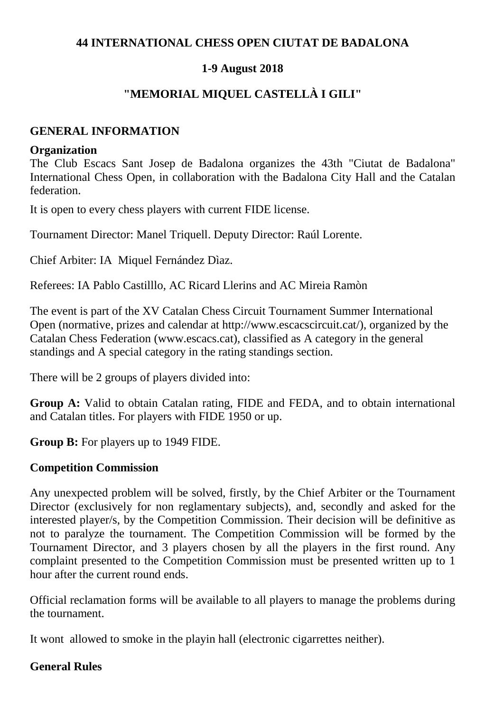## **44 INTERNATIONAL CHESS OPEN CIUTAT DE BADALONA**

## **1-9 August 2018**

## **"MEMORIAL MIQUEL CASTELLÀ I GILI"**

## **GENERAL INFORMATION**

#### **Organization**

The Club Escacs Sant Josep de Badalona organizes the 43th "Ciutat de Badalona" International Chess Open, in collaboration with the Badalona City Hall and the Catalan federation.

It is open to every chess players with current FIDE license.

Tournament Director: Manel Triquell. Deputy Director: Raúl Lorente.

Chief Arbiter: IA Miquel Fernández Dìaz.

Referees: IA Pablo Castilllo, AC Ricard Llerins and AC Mireia Ramòn

The event is part of the XV Catalan Chess Circuit Tournament Summer International Open (normative, prizes and calendar at http://www.escacscircuit.cat/), organized by the Catalan Chess Federation (www.escacs.cat), classified as A category in the general standings and A special category in the rating standings section.

There will be 2 groups of players divided into:

**Group A:** Valid to obtain Catalan rating, FIDE and FEDA, and to obtain international and Catalan titles. For players with FIDE 1950 or up.

**Group B:** For players up to 1949 FIDE.

#### **Competition Commission**

Any unexpected problem will be solved, firstly, by the Chief Arbiter or the Tournament Director (exclusively for non reglamentary subjects), and, secondly and asked for the interested player/s, by the Competition Commission. Their decision will be definitive as not to paralyze the tournament. The Competition Commission will be formed by the Tournament Director, and 3 players chosen by all the players in the first round. Any complaint presented to the Competition Commission must be presented written up to 1 hour after the current round ends.

Official reclamation forms will be available to all players to manage the problems during the tournament.

It wont allowed to smoke in the playin hall (electronic cigarrettes neither).

#### **General Rules**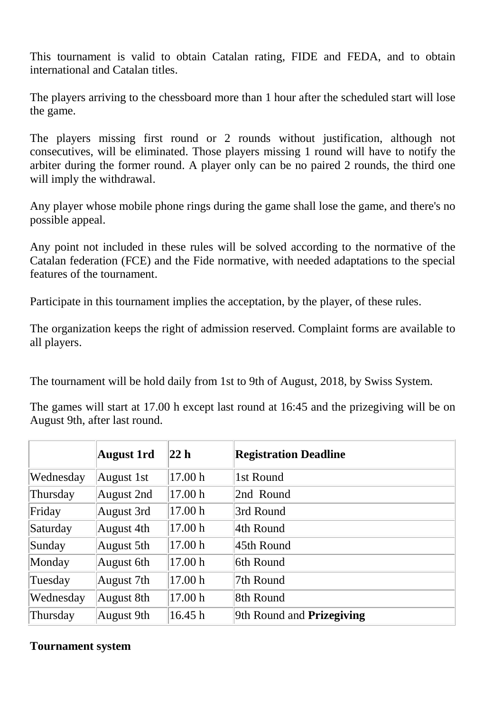This tournament is valid to obtain Catalan rating, FIDE and FEDA, and to obtain international and Catalan titles.

The players arriving to the chessboard more than 1 hour after the scheduled start will lose the game.

The players missing first round or 2 rounds without justification, although not consecutives, will be eliminated. Those players missing 1 round will have to notify the arbiter during the former round. A player only can be no paired 2 rounds, the third one will imply the withdrawal.

Any player whose mobile phone rings during the game shall lose the game, and there's no possible appeal.

Any point not included in these rules will be solved according to the normative of the Catalan federation (FCE) and the Fide normative, with needed adaptations to the special features of the tournament.

Participate in this tournament implies the acceptation, by the player, of these rules.

The organization keeps the right of admission reserved. Complaint forms are available to all players.

The tournament will be hold daily from 1st to 9th of August, 2018, by Swiss System.

The games will start at 17.00 h except last round at 16:45 and the prizegiving will be on August 9th, after last round.

|           | <b>August 1rd</b> | 22 h    | <b>Registration Deadline</b>     |
|-----------|-------------------|---------|----------------------------------|
| Wednesday | August 1st        | 17.00 h | 1st Round                        |
| Thursday  | August 2nd        | 17.00 h | 2nd Round                        |
| Friday    | August 3rd        | 17.00 h | 3rd Round                        |
| Saturday  | August 4th        | 17.00 h | 4th Round                        |
| Sunday    | August 5th        | 17.00 h | 45th Round                       |
| Monday    | August 6th        | 17.00 h | 6th Round                        |
| Tuesday   | August 7th        | 17.00 h | 7th Round                        |
| Wednesday | August 8th        | 17.00 h | 8th Round                        |
| Thursday  | August 9th        | 16.45 h | 9th Round and <b>Prizegiving</b> |

# **Tournament system**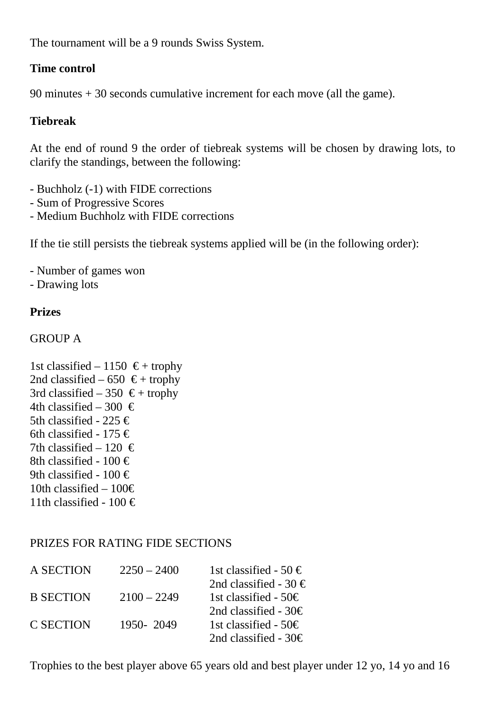The tournament will be a 9 rounds Swiss System.

# **Time control**

90 minutes + 30 seconds cumulative increment for each move (all the game).

# **Tiebreak**

At the end of round 9 the order of tiebreak systems will be chosen by drawing lots, to clarify the standings, between the following:

- Buchholz (-1) with FIDE corrections
- Sum of Progressive Scores
- Medium Buchholz with FIDE corrections

If the tie still persists the tiebreak systems applied will be (in the following order):

- Number of games won

- Drawing lots

# **Prizes**

## GROUP A

1st classified – 1150  $\epsilon$  + trophy 2nd classified – 650  $\epsilon$  + trophy 3rd classified – 350  $\epsilon$  + trophy 4th classified – 300  $\in$ 5th classified - 225 € 6th classified - 175  $\in$ 7th classified – 120  $\in$ 8th classified - 100  $\in$ 9th classified - 100  $\in$ 10th classified – 100€ 11th classified - 100  $\in$ 

# PRIZES FOR RATING FIDE SECTIONS

| A SECTION        | $2250 - 2400$ | 1st classified - 50 $\in$ |
|------------------|---------------|---------------------------|
|                  |               | 2nd classified - 30 $\in$ |
| <b>B SECTION</b> | $2100 - 2249$ | 1st classified - 50 $\in$ |
|                  |               | 2nd classified - $30 \in$ |
| <b>C SECTION</b> | 1950-2049     | 1st classified - 50€      |
|                  |               | 2nd classified - 30 $\in$ |

Trophies to the best player above 65 years old and best player under 12 yo, 14 yo and 16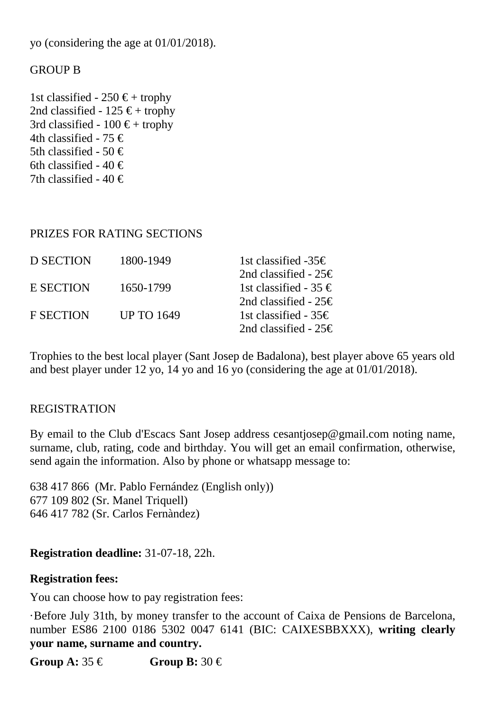yo (considering the age at 01/01/2018).

#### GROUP B

1st classified - 250  $\epsilon$  + trophy 2nd classified -  $125 \text{ } \in$  + trophy 3rd classified -  $100 \text{ } \in$  + trophy 4th classified - 75  $\in$ 5th classified - 50  $\in$ 6th classified - 40  $\in$ 7th classified - 40  $\in$ 

#### PRIZES FOR RATING SECTIONS

| D SECTION        | 1800-1949         | 1st classified -35€       |
|------------------|-------------------|---------------------------|
|                  |                   | 2nd classified - $25 \in$ |
| E SECTION        | 1650-1799         | 1st classified - 35 €     |
|                  |                   | 2nd classified - $25 \in$ |
| <b>F SECTION</b> | <b>UP TO 1649</b> | 1st classified - 35€      |
|                  |                   | 2nd classified - $25 \in$ |
|                  |                   |                           |

Trophies to the best local player (Sant Josep de Badalona), best player above 65 years old and best player under 12 yo, 14 yo and 16 yo (considering the age at 01/01/2018).

#### REGISTRATION

By email to the Club d'Escacs Sant Josep address cesantjosep@gmail.com noting name, surname, club, rating, code and birthday. You will get an email confirmation, otherwise, send again the information. Also by phone or whatsapp message to:

638 417 866 (Mr. Pablo Fernández (English only)) 677 109 802 (Sr. Manel Triquell) 646 417 782 (Sr. Carlos Fernàndez)

#### **Registration deadline:** 31-07-18, 22h.

#### **Registration fees:**

You can choose how to pay registration fees:

·Before July 31th, by money transfer to the account of Caixa de Pensions de Barcelona, number ES86 2100 0186 5302 0047 6141 (BIC: CAIXESBBXXX), **writing clearly your name, surname and country.**

**Group A:**  $35 \notin \mathbb{C}$  **Group B:**  $30 \notin \mathbb{C}$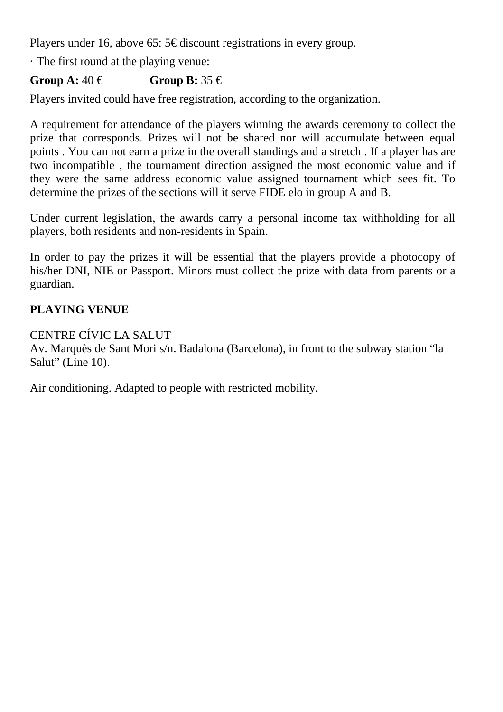Players under 16, above 65:  $5 \in$  discount registrations in every group.

· The first round at the playing venue:

# **Group A:**  $40 \notin$  **Group B:**  $35 \notin$

Players invited could have free registration, according to the organization.

A requirement for attendance of the players winning the awards ceremony to collect the prize that corresponds. Prizes will not be shared nor will accumulate between equal points . You can not earn a prize in the overall standings and a stretch . If a player has are two incompatible , the tournament direction assigned the most economic value and if they were the same address economic value assigned tournament which sees fit. To determine the prizes of the sections will it serve FIDE elo in group A and B.

Under current legislation, the awards carry a personal income tax withholding for all players, both residents and non-residents in Spain.

In order to pay the prizes it will be essential that the players provide a photocopy of his/her DNI, NIE or Passport. Minors must collect the prize with data from parents or a guardian.

# **PLAYING VENUE**

## CENTRE CÍVIC LA SALUT

Av. Marquès de Sant Mori s/n. Badalona (Barcelona), in front to the subway station "la Salut" (Line 10).

Air conditioning. Adapted to people with restricted mobility.